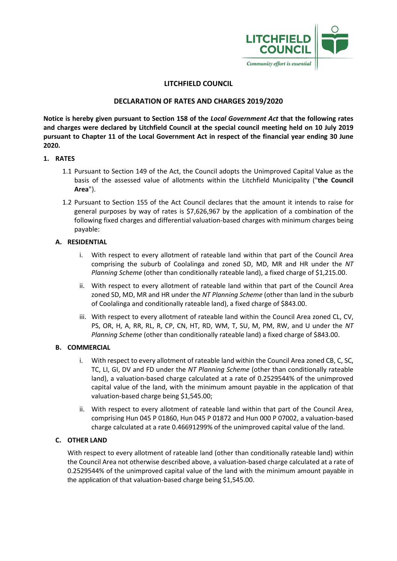

# **LITCHFIELD COUNCIL**

# **DECLARATION OF RATES AND CHARGES 2019/2020**

**Notice is hereby given pursuant to Section 158 of the** *Local Government Act* **that the following rates and charges were declared by Litchfield Council at the special council meeting held on 10 July 2019 pursuant to Chapter 11 of the Local Government Act in respect of the financial year ending 30 June 2020.**

## **1. RATES**

- 1.1 Pursuant to Section 149 of the Act, the Council adopts the Unimproved Capital Value as the basis of the assessed value of allotments within the Litchfield Municipality ("**the Council Area**").
- 1.2 Pursuant to Section 155 of the Act Council declares that the amount it intends to raise for general purposes by way of rates is \$7,626,967 by the application of a combination of the following fixed charges and differential valuation-based charges with minimum charges being payable:

## **A. RESIDENTIAL**

- i. With respect to every allotment of rateable land within that part of the Council Area comprising the suburb of Coolalinga and zoned SD, MD, MR and HR under the *NT Planning Scheme* (other than conditionally rateable land), a fixed charge of \$1,215.00.
- ii. With respect to every allotment of rateable land within that part of the Council Area zoned SD, MD, MR and HR under the *NT Planning Scheme* (other than land in the suburb of Coolalinga and conditionally rateable land), a fixed charge of \$843.00.
- iii. With respect to every allotment of rateable land within the Council Area zoned CL, CV, PS, OR, H, A, RR, RL, R, CP, CN, HT, RD, WM, T, SU, M, PM, RW, and U under the *NT Planning Scheme* (other than conditionally rateable land) a fixed charge of \$843.00.

## **B. COMMERCIAL**

- i. With respect to every allotment of rateable land within the Council Area zoned CB, C, SC, TC, LI, GI, DV and FD under the *NT Planning Scheme* (other than conditionally rateable land), a valuation-based charge calculated at a rate of 0.2529544% of the unimproved capital value of the land, with the minimum amount payable in the application of that valuation-based charge being \$1,545.00;
- ii. With respect to every allotment of rateable land within that part of the Council Area, comprising Hun 045 P 01860, Hun 045 P 01872 and Hun 000 P 07002, a valuation-based charge calculated at a rate 0.46691299% of the unimproved capital value of the land.

## **C. OTHER LAND**

With respect to every allotment of rateable land (other than conditionally rateable land) within the Council Area not otherwise described above, a valuation-based charge calculated at a rate of 0.2529544% of the unimproved capital value of the land with the minimum amount payable in the application of that valuation-based charge being \$1,545.00.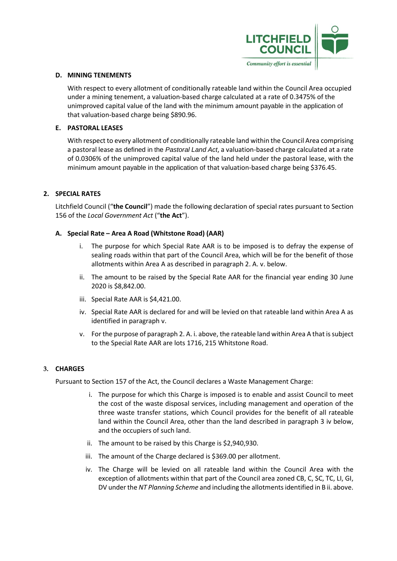

#### **D. MINING TENEMENTS**

With respect to every allotment of conditionally rateable land within the Council Area occupied under a mining tenement, a valuation-based charge calculated at a rate of 0.3475% of the unimproved capital value of the land with the minimum amount payable in the application of that valuation-based charge being \$890.96.

## **E. PASTORAL LEASES**

With respect to every allotment of conditionally rateable land within the Council Area comprising a pastoral lease as defined in the *Pastoral Land Act*, a valuation-based charge calculated at a rate of 0.0306% of the unimproved capital value of the land held under the pastoral lease, with the minimum amount payable in the application of that valuation-based charge being \$376.45.

## **2. SPECIAL RATES**

Litchfield Council ("**the Council**") made the following declaration of special rates pursuant to Section 156 of the *Local Government Act* ("**the Act**").

#### **A. Special Rate – Area A Road (Whitstone Road) (AAR)**

- The purpose for which Special Rate AAR is to be imposed is to defray the expense of sealing roads within that part of the Council Area, which will be for the benefit of those allotments within Area A as described in paragraph 2. A. v. below.
- ii. The amount to be raised by the Special Rate AAR for the financial year ending 30 June 2020 is \$8,842.00.
- iii. Special Rate AAR is \$4,421.00.
- iv. Special Rate AAR is declared for and will be levied on that rateable land within Area A as identified in paragraph v.
- v. For the purpose of paragraph 2. A. i. above, the rateable land within Area A that is subject to the Special Rate AAR are lots 1716, 215 Whitstone Road.

#### **3. CHARGES**

Pursuant to Section 157 of the Act, the Council declares a Waste Management Charge:

- i. The purpose for which this Charge is imposed is to enable and assist Council to meet the cost of the waste disposal services, including management and operation of the three waste transfer stations, which Council provides for the benefit of all rateable land within the Council Area, other than the land described in paragraph 3 iv below, and the occupiers of such land.
- ii. The amount to be raised by this Charge is \$2,940,930.
- iii. The amount of the Charge declared is \$369.00 per allotment.
- iv. The Charge will be levied on all rateable land within the Council Area with the exception of allotments within that part of the Council area zoned CB, C, SC, TC, LI, GI, DV under the *NT Planning Scheme* and including the allotments identified in B ii. above.